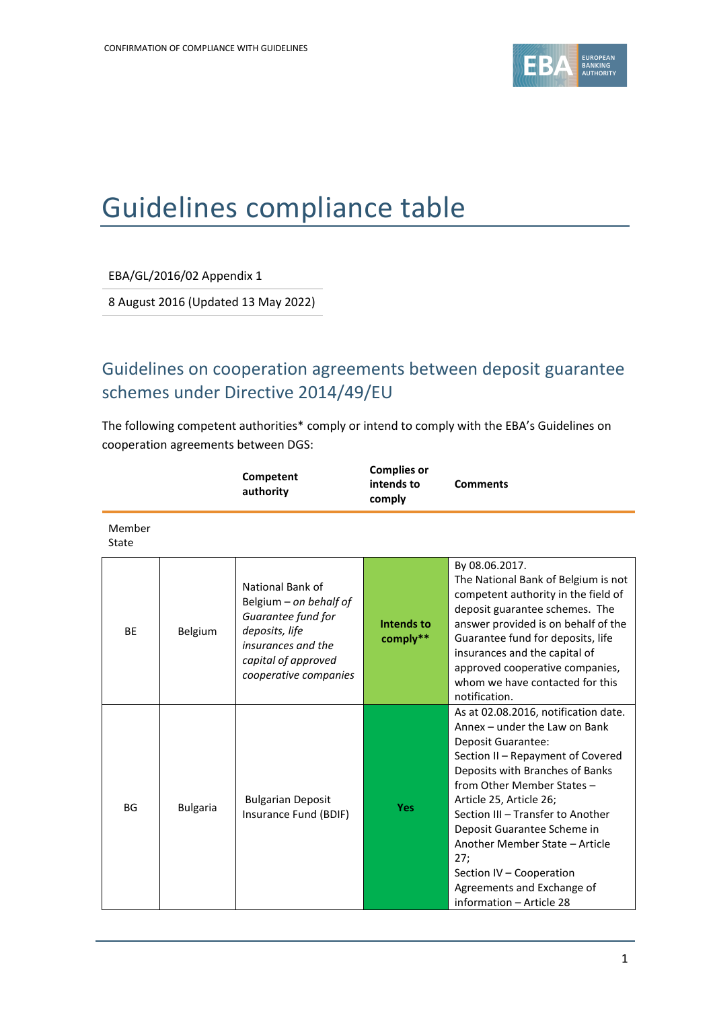

# Guidelines compliance table

EBA/GL/2016/02 Appendix 1

8 August 2016 (Updated 13 May 2022)

## Guidelines on cooperation agreements between deposit guarantee schemes under Directive 2014/49/EU

The following competent authorities\* comply or intend to comply with the EBA's Guidelines on cooperation agreements between DGS:

|                 |                 | Competent<br>authority                                                                                                                                   | <b>Complies or</b><br>intends to<br>comply | <b>Comments</b>                                                                                                                                                                                                                                                                                                                                                                                                                 |
|-----------------|-----------------|----------------------------------------------------------------------------------------------------------------------------------------------------------|--------------------------------------------|---------------------------------------------------------------------------------------------------------------------------------------------------------------------------------------------------------------------------------------------------------------------------------------------------------------------------------------------------------------------------------------------------------------------------------|
| Member<br>State |                 |                                                                                                                                                          |                                            |                                                                                                                                                                                                                                                                                                                                                                                                                                 |
| <b>BE</b>       | Belgium         | National Bank of<br>Belgium - on behalf of<br>Guarantee fund for<br>deposits, life<br>insurances and the<br>capital of approved<br>cooperative companies | <b>Intends to</b><br>comply**              | By 08.06.2017.<br>The National Bank of Belgium is not<br>competent authority in the field of<br>deposit guarantee schemes. The<br>answer provided is on behalf of the<br>Guarantee fund for deposits, life<br>insurances and the capital of<br>approved cooperative companies,<br>whom we have contacted for this<br>notification.                                                                                              |
| <b>BG</b>       | <b>Bulgaria</b> | <b>Bulgarian Deposit</b><br>Insurance Fund (BDIF)                                                                                                        | <b>Yes</b>                                 | As at 02.08.2016, notification date.<br>Annex - under the Law on Bank<br>Deposit Guarantee:<br>Section II - Repayment of Covered<br>Deposits with Branches of Banks<br>from Other Member States -<br>Article 25, Article 26;<br>Section III - Transfer to Another<br>Deposit Guarantee Scheme in<br>Another Member State - Article<br>27;<br>Section IV - Cooperation<br>Agreements and Exchange of<br>information - Article 28 |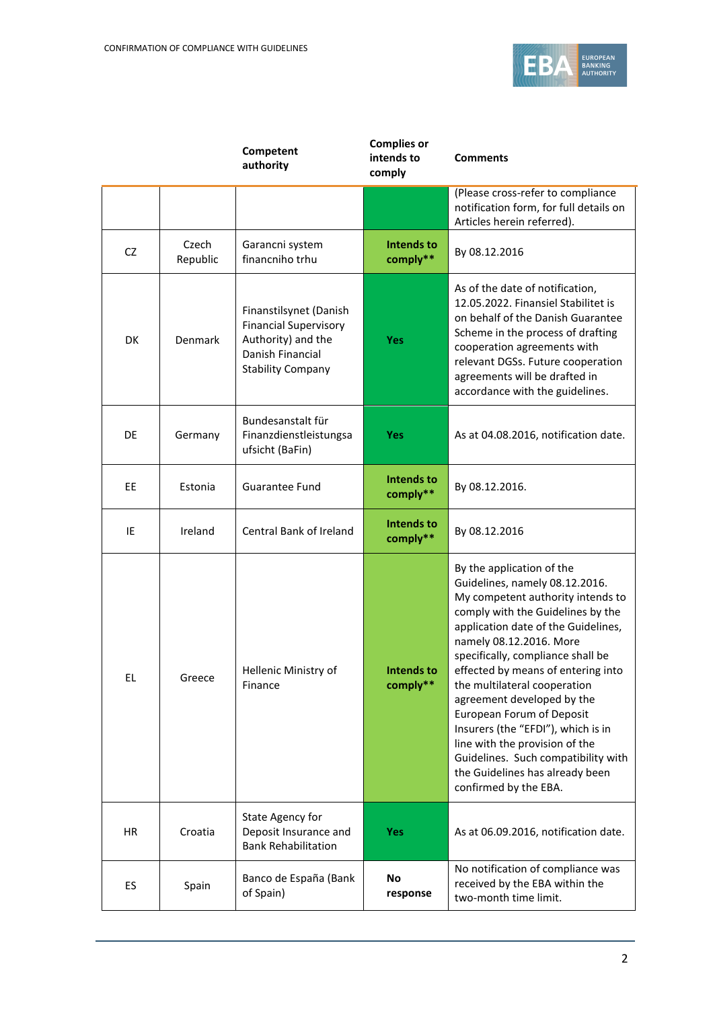

|           |                   | Competent<br>authority                                                                                                       | <b>Complies or</b><br>intends to<br>comply | <b>Comments</b>                                                                                                                                                                                                                                                                                                                                                                                                                                                                                                                                          |
|-----------|-------------------|------------------------------------------------------------------------------------------------------------------------------|--------------------------------------------|----------------------------------------------------------------------------------------------------------------------------------------------------------------------------------------------------------------------------------------------------------------------------------------------------------------------------------------------------------------------------------------------------------------------------------------------------------------------------------------------------------------------------------------------------------|
|           |                   |                                                                                                                              |                                            | (Please cross-refer to compliance<br>notification form, for full details on<br>Articles herein referred).                                                                                                                                                                                                                                                                                                                                                                                                                                                |
| CZ        | Czech<br>Republic | Garancni system<br>financniho trhu                                                                                           | <b>Intends to</b><br>comply**              | By 08.12.2016                                                                                                                                                                                                                                                                                                                                                                                                                                                                                                                                            |
| <b>DK</b> | Denmark           | Finanstilsynet (Danish<br><b>Financial Supervisory</b><br>Authority) and the<br>Danish Financial<br><b>Stability Company</b> | <b>Yes</b>                                 | As of the date of notification,<br>12.05.2022. Finansiel Stabilitet is<br>on behalf of the Danish Guarantee<br>Scheme in the process of drafting<br>cooperation agreements with<br>relevant DGSs. Future cooperation<br>agreements will be drafted in<br>accordance with the guidelines.                                                                                                                                                                                                                                                                 |
| DE        | Germany           | Bundesanstalt für<br>Finanzdienstleistungsa<br>ufsicht (BaFin)                                                               | <b>Yes</b>                                 | As at 04.08.2016, notification date.                                                                                                                                                                                                                                                                                                                                                                                                                                                                                                                     |
| <b>EE</b> | Estonia           | Guarantee Fund                                                                                                               | <b>Intends to</b><br>comply**              | By 08.12.2016.                                                                                                                                                                                                                                                                                                                                                                                                                                                                                                                                           |
| IE        | Ireland           | Central Bank of Ireland                                                                                                      | <b>Intends to</b><br>comply**              | By 08.12.2016                                                                                                                                                                                                                                                                                                                                                                                                                                                                                                                                            |
| EL        | Greece            | Hellenic Ministry of<br>Finance                                                                                              | <b>Intends to</b><br>comply**              | By the application of the<br>Guidelines, namely 08.12.2016.<br>My competent authority intends to<br>comply with the Guidelines by the<br>application date of the Guidelines,<br>namely 08.12.2016. More<br>specifically, compliance shall be<br>effected by means of entering into<br>the multilateral cooperation<br>agreement developed by the<br>European Forum of Deposit<br>Insurers (the "EFDI"), which is in<br>line with the provision of the<br>Guidelines. Such compatibility with<br>the Guidelines has already been<br>confirmed by the EBA. |
| ΗR        | Croatia           | State Agency for<br>Deposit Insurance and<br><b>Bank Rehabilitation</b>                                                      | <b>Yes</b>                                 | As at 06.09.2016, notification date.                                                                                                                                                                                                                                                                                                                                                                                                                                                                                                                     |
| ES        | Spain             | Banco de España (Bank<br>of Spain)                                                                                           | <b>No</b><br>response                      | No notification of compliance was<br>received by the EBA within the<br>two-month time limit.                                                                                                                                                                                                                                                                                                                                                                                                                                                             |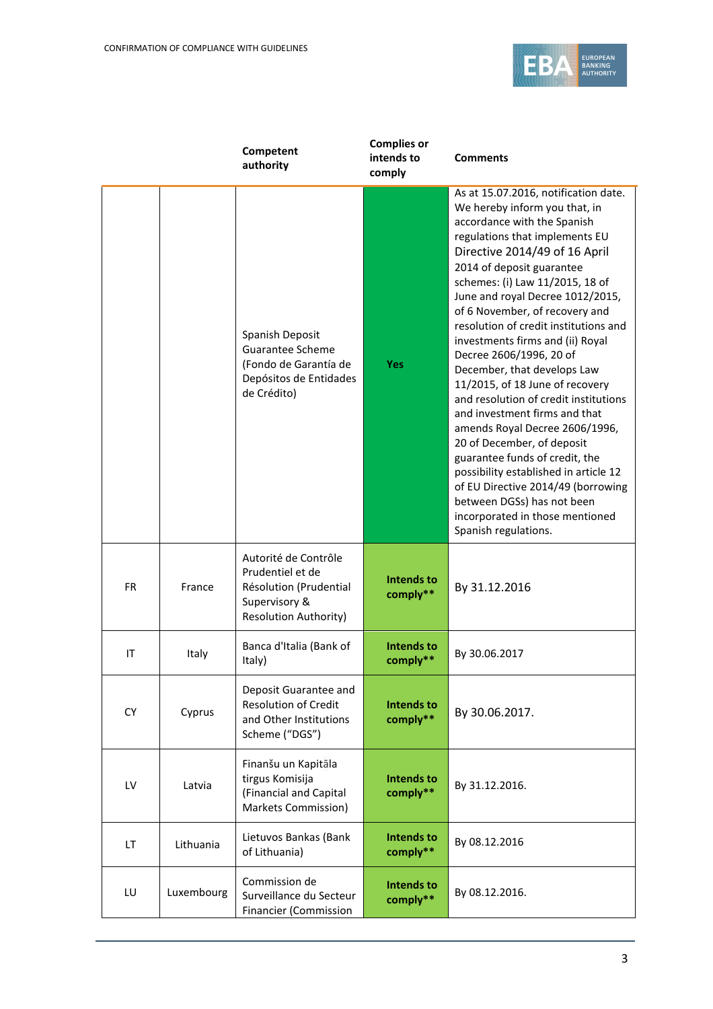

|           |            | Competent<br>authority                                                                                              | <b>Complies or</b><br>intends to<br>comply | <b>Comments</b>                                                                                                                                                                                                                                                                                                                                                                                                                                                                                                                                                                                                                                                                                                                                                                                                                             |
|-----------|------------|---------------------------------------------------------------------------------------------------------------------|--------------------------------------------|---------------------------------------------------------------------------------------------------------------------------------------------------------------------------------------------------------------------------------------------------------------------------------------------------------------------------------------------------------------------------------------------------------------------------------------------------------------------------------------------------------------------------------------------------------------------------------------------------------------------------------------------------------------------------------------------------------------------------------------------------------------------------------------------------------------------------------------------|
|           |            | Spanish Deposit<br>Guarantee Scheme<br>(Fondo de Garantía de<br>Depósitos de Entidades<br>de Crédito)               | <b>Yes</b>                                 | As at 15.07.2016, notification date.<br>We hereby inform you that, in<br>accordance with the Spanish<br>regulations that implements EU<br>Directive 2014/49 of 16 April<br>2014 of deposit guarantee<br>schemes: (i) Law 11/2015, 18 of<br>June and royal Decree 1012/2015,<br>of 6 November, of recovery and<br>resolution of credit institutions and<br>investments firms and (ii) Royal<br>Decree 2606/1996, 20 of<br>December, that develops Law<br>11/2015, of 18 June of recovery<br>and resolution of credit institutions<br>and investment firms and that<br>amends Royal Decree 2606/1996,<br>20 of December, of deposit<br>guarantee funds of credit, the<br>possibility established in article 12<br>of EU Directive 2014/49 (borrowing<br>between DGSs) has not been<br>incorporated in those mentioned<br>Spanish regulations. |
| <b>FR</b> | France     | Autorité de Contrôle<br>Prudentiel et de<br>Résolution (Prudential<br>Supervisory &<br><b>Resolution Authority)</b> | <b>Intends to</b><br>comply**              | By 31.12.2016                                                                                                                                                                                                                                                                                                                                                                                                                                                                                                                                                                                                                                                                                                                                                                                                                               |
| IT        | Italy      | Banca d'Italia (Bank of<br>Italy)                                                                                   | <b>Intends to</b><br>comply**              | By 30.06.2017                                                                                                                                                                                                                                                                                                                                                                                                                                                                                                                                                                                                                                                                                                                                                                                                                               |
| <b>CY</b> | Cyprus     | Deposit Guarantee and<br><b>Resolution of Credit</b><br>and Other Institutions<br>Scheme ("DGS")                    | <b>Intends to</b><br>comply**              | By 30.06.2017.                                                                                                                                                                                                                                                                                                                                                                                                                                                                                                                                                                                                                                                                                                                                                                                                                              |
| LV        | Latvia     | Finanšu un Kapitāla<br>tirgus Komisija<br>(Financial and Capital<br>Markets Commission)                             | <b>Intends to</b><br>comply**              | By 31.12.2016.                                                                                                                                                                                                                                                                                                                                                                                                                                                                                                                                                                                                                                                                                                                                                                                                                              |
| LT        | Lithuania  | Lietuvos Bankas (Bank<br>of Lithuania)                                                                              | <b>Intends to</b><br>comply**              | By 08.12.2016                                                                                                                                                                                                                                                                                                                                                                                                                                                                                                                                                                                                                                                                                                                                                                                                                               |
| LU        | Luxembourg | Commission de<br>Surveillance du Secteur<br>Financier (Commission                                                   | <b>Intends to</b><br>comply**              | By 08.12.2016.                                                                                                                                                                                                                                                                                                                                                                                                                                                                                                                                                                                                                                                                                                                                                                                                                              |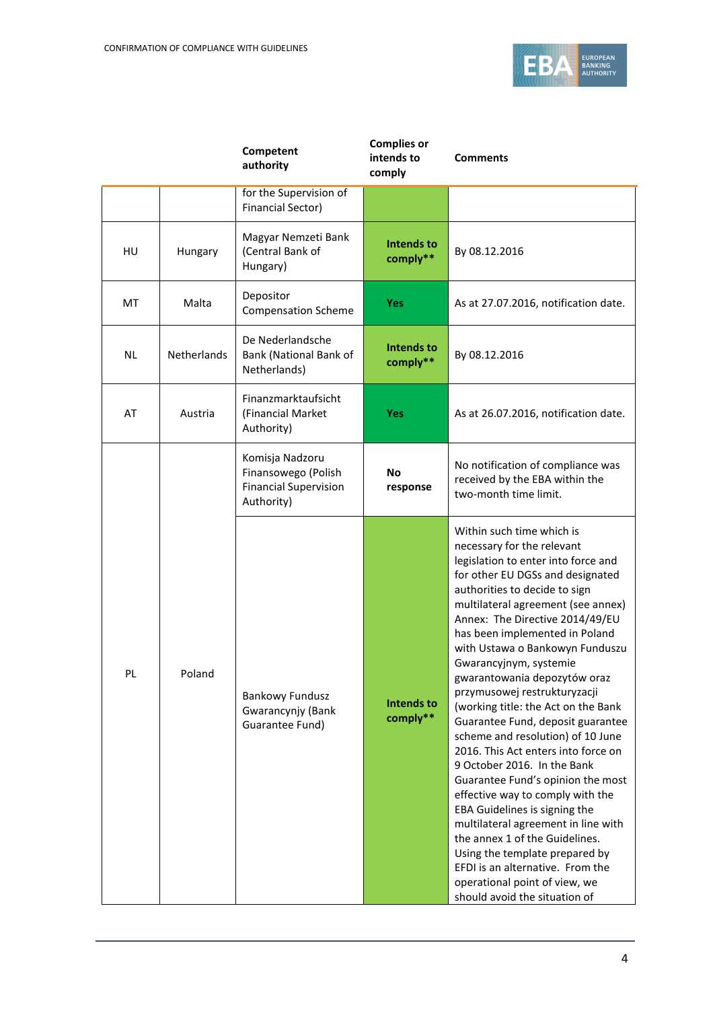

|           |                    | Competent<br>authority                                                               | <b>Complies or</b><br>intends to<br>comply | <b>Comments</b>                                                                                                                                                                                                                                                                                                                                                                                                                                                                                                                                                                                                                                                                                                                                                                                                                                                                                                               |
|-----------|--------------------|--------------------------------------------------------------------------------------|--------------------------------------------|-------------------------------------------------------------------------------------------------------------------------------------------------------------------------------------------------------------------------------------------------------------------------------------------------------------------------------------------------------------------------------------------------------------------------------------------------------------------------------------------------------------------------------------------------------------------------------------------------------------------------------------------------------------------------------------------------------------------------------------------------------------------------------------------------------------------------------------------------------------------------------------------------------------------------------|
|           |                    | for the Supervision of<br><b>Financial Sector)</b>                                   |                                            |                                                                                                                                                                                                                                                                                                                                                                                                                                                                                                                                                                                                                                                                                                                                                                                                                                                                                                                               |
| HU        | Hungary            | Magyar Nemzeti Bank<br>(Central Bank of<br>Hungary)                                  | <b>Intends to</b><br>comply**              | By 08.12.2016                                                                                                                                                                                                                                                                                                                                                                                                                                                                                                                                                                                                                                                                                                                                                                                                                                                                                                                 |
| MT        | Malta              | Depositor<br><b>Compensation Scheme</b>                                              | Yes                                        | As at 27.07.2016, notification date.                                                                                                                                                                                                                                                                                                                                                                                                                                                                                                                                                                                                                                                                                                                                                                                                                                                                                          |
| <b>NL</b> | <b>Netherlands</b> | De Nederlandsche<br>Bank (National Bank of<br>Netherlands)                           | <b>Intends to</b><br>comply**              | By 08.12.2016                                                                                                                                                                                                                                                                                                                                                                                                                                                                                                                                                                                                                                                                                                                                                                                                                                                                                                                 |
| AT        | Austria            | Finanzmarktaufsicht<br>(Financial Market<br>Authority)                               | <b>Yes</b>                                 | As at 26.07.2016, notification date.                                                                                                                                                                                                                                                                                                                                                                                                                                                                                                                                                                                                                                                                                                                                                                                                                                                                                          |
|           |                    | Komisja Nadzoru<br>Finansowego (Polish<br><b>Financial Supervision</b><br>Authority) | <b>No</b><br>response                      | No notification of compliance was<br>received by the EBA within the<br>two-month time limit.                                                                                                                                                                                                                                                                                                                                                                                                                                                                                                                                                                                                                                                                                                                                                                                                                                  |
| PL        | Poland             | <b>Bankowy Fundusz</b><br>Gwarancynjy (Bank<br>Guarantee Fund)                       | Intends to<br>comply**                     | Within such time which is<br>necessary for the relevant<br>legislation to enter into force and<br>for other EU DGSs and designated<br>authorities to decide to sign<br>multilateral agreement (see annex)<br>Annex: The Directive 2014/49/EU<br>has been implemented in Poland<br>with Ustawa o Bankowyn Funduszu<br>Gwarancyjnym, systemie<br>gwarantowania depozytów oraz<br>przymusowej restrukturyzacji<br>(working title: the Act on the Bank<br>Guarantee Fund, deposit guarantee<br>scheme and resolution) of 10 June<br>2016. This Act enters into force on<br>9 October 2016. In the Bank<br>Guarantee Fund's opinion the most<br>effective way to comply with the<br>EBA Guidelines is signing the<br>multilateral agreement in line with<br>the annex 1 of the Guidelines.<br>Using the template prepared by<br>EFDI is an alternative. From the<br>operational point of view, we<br>should avoid the situation of |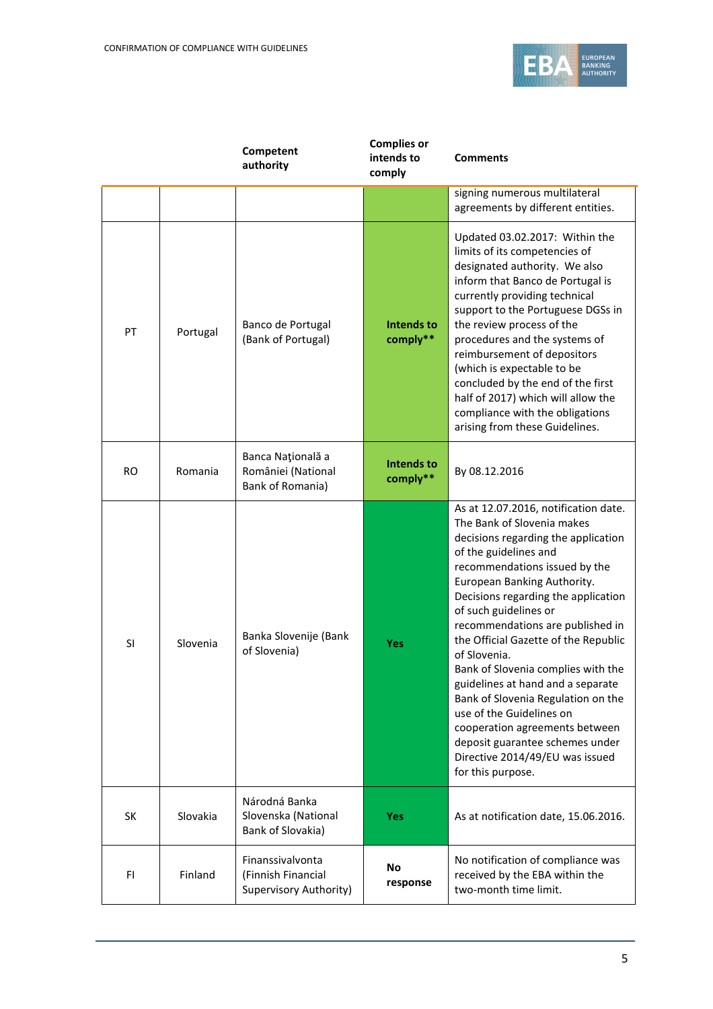

|           |          | Competent<br>authority                                             | <b>Complies or</b><br>intends to<br>comply | <b>Comments</b>                                                                                                                                                                                                                                                                                                                                                                                                                                                                                                                                                                                                                          |
|-----------|----------|--------------------------------------------------------------------|--------------------------------------------|------------------------------------------------------------------------------------------------------------------------------------------------------------------------------------------------------------------------------------------------------------------------------------------------------------------------------------------------------------------------------------------------------------------------------------------------------------------------------------------------------------------------------------------------------------------------------------------------------------------------------------------|
|           |          |                                                                    |                                            | signing numerous multilateral<br>agreements by different entities.                                                                                                                                                                                                                                                                                                                                                                                                                                                                                                                                                                       |
| PT        | Portugal | Banco de Portugal<br>(Bank of Portugal)                            | Intends to<br>comply**                     | Updated 03.02.2017: Within the<br>limits of its competencies of<br>designated authority. We also<br>inform that Banco de Portugal is<br>currently providing technical<br>support to the Portuguese DGSs in<br>the review process of the<br>procedures and the systems of<br>reimbursement of depositors<br>(which is expectable to be<br>concluded by the end of the first<br>half of 2017) which will allow the<br>compliance with the obligations<br>arising from these Guidelines.                                                                                                                                                    |
| <b>RO</b> | Romania  | Banca Națională a<br>României (National<br><b>Bank of Romania)</b> | <b>Intends to</b><br>comply**              | By 08.12.2016                                                                                                                                                                                                                                                                                                                                                                                                                                                                                                                                                                                                                            |
| SI        | Slovenia | Banka Slovenije (Bank<br>of Slovenia)                              | Yes                                        | As at 12.07.2016, notification date.<br>The Bank of Slovenia makes<br>decisions regarding the application<br>of the guidelines and<br>recommendations issued by the<br>European Banking Authority.<br>Decisions regarding the application<br>of such guidelines or<br>recommendations are published in<br>the Official Gazette of the Republic<br>of Slovenia.<br>Bank of Slovenia complies with the<br>guidelines at hand and a separate<br>Bank of Slovenia Regulation on the<br>use of the Guidelines on<br>cooperation agreements between<br>deposit guarantee schemes under<br>Directive 2014/49/EU was issued<br>for this purpose. |
| SK        | Slovakia | Národná Banka<br>Slovenska (National<br>Bank of Slovakia)          | <b>Yes</b>                                 | As at notification date, 15.06.2016.                                                                                                                                                                                                                                                                                                                                                                                                                                                                                                                                                                                                     |
| FI.       | Finland  | Finanssivalvonta<br>(Finnish Financial<br>Supervisory Authority)   | <b>No</b><br>response                      | No notification of compliance was<br>received by the EBA within the<br>two-month time limit.                                                                                                                                                                                                                                                                                                                                                                                                                                                                                                                                             |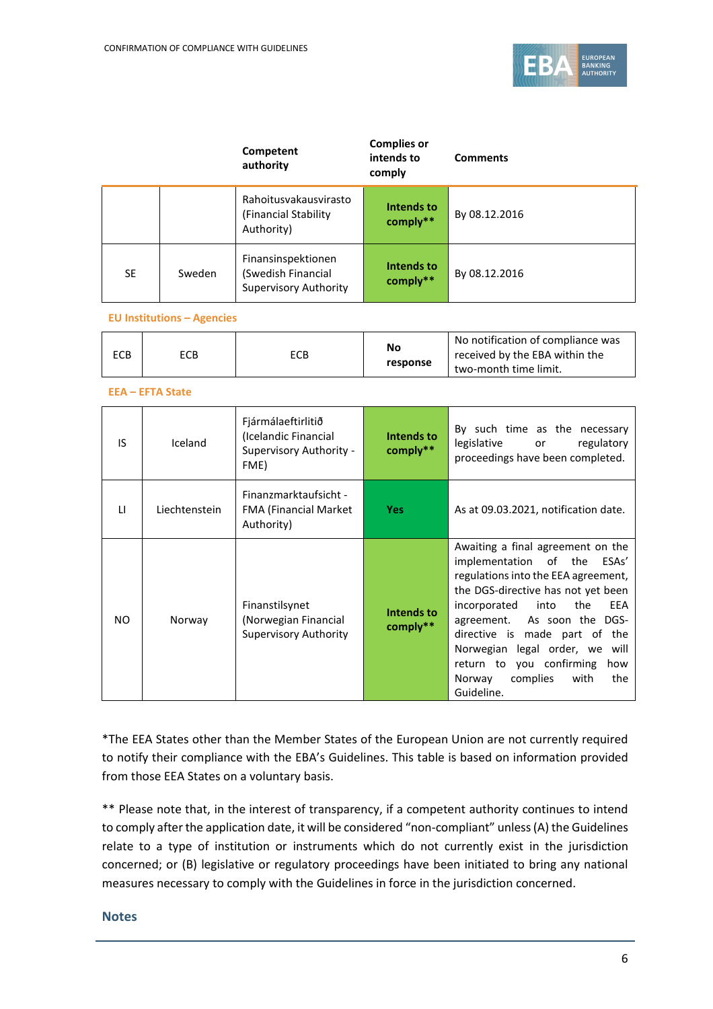

|     |        | Competent<br>authority                                                   | <b>Complies or</b><br>intends to<br>comply | <b>Comments</b> |
|-----|--------|--------------------------------------------------------------------------|--------------------------------------------|-----------------|
|     |        | Rahoitusvakausvirasto<br>(Financial Stability)<br>Authority)             | Intends to<br>comply**                     | By 08.12.2016   |
| SE. | Sweden | Finansinspektionen<br>(Swedish Financial<br><b>Supervisory Authority</b> | Intends to<br>comply**                     | By 08.12.2016   |

#### **EU Institutions – Agencies**

| ECB | ECB | ECB | No<br>response | No notification of compliance was<br>received by the EBA within the<br>two-month time limit. |
|-----|-----|-----|----------------|----------------------------------------------------------------------------------------------|
|-----|-----|-----|----------------|----------------------------------------------------------------------------------------------|

#### **EEA – EFTA State**

| Iς           | Iceland       | Fjármálaeftirlitið<br>(Icelandic Financial<br>Supervisory Authority -<br>FME) | Intends to<br>comply**   | By such time as the necessary<br>legislative<br>regulatory<br>or<br>proceedings have been completed.                                                                                                                                                                                                                                                                     |
|--------------|---------------|-------------------------------------------------------------------------------|--------------------------|--------------------------------------------------------------------------------------------------------------------------------------------------------------------------------------------------------------------------------------------------------------------------------------------------------------------------------------------------------------------------|
| $\mathbf{H}$ | Liechtenstein | Finanzmarktaufsicht -<br><b>FMA (Financial Market)</b><br>Authority)          | <b>Yes</b>               | As at 09.03.2021, notification date.                                                                                                                                                                                                                                                                                                                                     |
| NO.          | Norway        | Finanstilsynet<br>(Norwegian Financial<br><b>Supervisory Authority</b>        | Intends to<br>$comply**$ | Awaiting a final agreement on the<br>implementation of the ESAs'<br>regulations into the EEA agreement,<br>the DGS-directive has not yet been<br>EEA<br>incorporated<br>into<br>the<br>agreement. As soon the DGS-<br>directive is made part of the<br>Norwegian legal order, we will<br>return to you confirming how<br>complies<br>with<br>the<br>Norway<br>Guideline. |

\*The EEA States other than the Member States of the European Union are not currently required to notify their compliance with the EBA's Guidelines. This table is based on information provided from those EEA States on a voluntary basis.

\*\* Please note that, in the interest of transparency, if a competent authority continues to intend to comply after the application date, it will be considered "non-compliant" unless (A) the Guidelines relate to a type of institution or instruments which do not currently exist in the jurisdiction concerned; or (B) legislative or regulatory proceedings have been initiated to bring any national measures necessary to comply with the Guidelines in force in the jurisdiction concerned.

### **Notes**